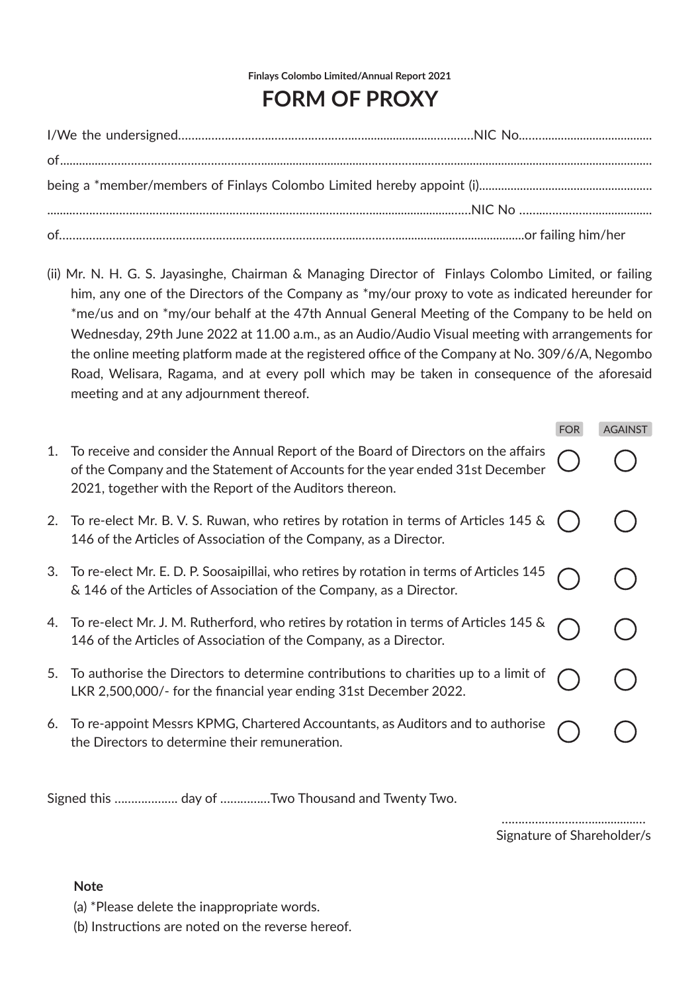**Finlays Colombo Limited/Annual Report 2021**

## **FORM OF PROXY**

(ii) Mr. N. H. G. S. Jayasinghe, Chairman & Managing Director of Finlays Colombo Limited, or failing him, any one of the Directors of the Company as \*my/our proxy to vote as indicated hereunder for \*me/us and on \*my/our behalf at the 47th Annual General Meeting of the Company to be held on Wednesday, 29th June 2022 at 11.00 a.m., as an Audio/Audio Visual meeting with arrangements for the online meeting platform made at the registered office of the Company at No. 309/6/A, Negombo Road, Welisara, Ragama, and at every poll which may be taken in consequence of the aforesaid meeting and at any adjournment thereof.

|    |                                                                                                                                                                                                                                | <b>FOR</b> | <b>AGAINST</b> |
|----|--------------------------------------------------------------------------------------------------------------------------------------------------------------------------------------------------------------------------------|------------|----------------|
| 1. | To receive and consider the Annual Report of the Board of Directors on the affairs<br>of the Company and the Statement of Accounts for the year ended 31st December<br>2021, together with the Report of the Auditors thereon. |            |                |
| 2. | To re-elect Mr. B. V. S. Ruwan, who retires by rotation in terms of Articles 145 &<br>146 of the Articles of Association of the Company, as a Director.                                                                        |            |                |
| З. | To re-elect Mr. E. D. P. Soosaipillai, who retires by rotation in terms of Articles 145<br>& 146 of the Articles of Association of the Company, as a Director.                                                                 |            |                |
|    | To re-elect Mr. J. M. Rutherford, who retires by rotation in terms of Articles 145 $\&$<br>146 of the Articles of Association of the Company, as a Director.                                                                   |            |                |
| 5. | To authorise the Directors to determine contributions to charities up to a limit of<br>LKR 2,500,000/- for the financial year ending 31st December 2022.                                                                       |            |                |
| 6. | To re-appoint Messrs KPMG, Chartered Accountants, as Auditors and to authorise<br>the Directors to determine their remuneration.                                                                                               |            |                |
|    |                                                                                                                                                                                                                                |            |                |

Signed this ………………. day of ……………Two Thousand and Twenty Two.

……………………………………… Signature of Shareholder/s

## **Note**

- (a) \*Please delete the inappropriate words.
- (b) Instructions are noted on the reverse hereof.